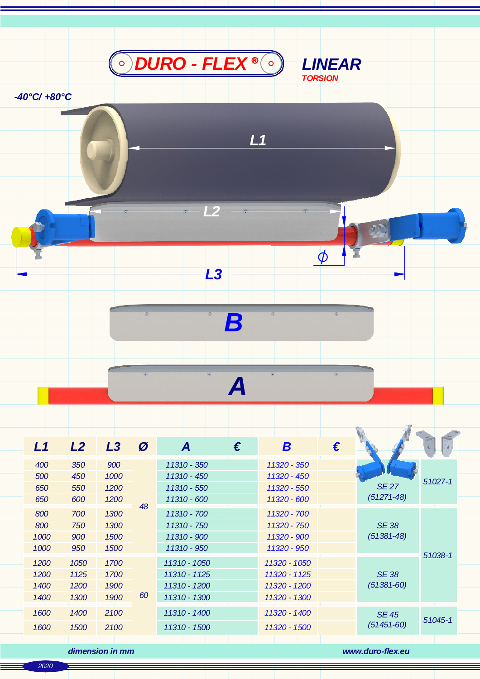

*L1*

 $\phi$ 

94

*-40°C/ +80°C*

*A*

*B*

*L3*

*L2*

| L1   | L2   | L3   | Ø  | A            | € | B            | € |                                |         |
|------|------|------|----|--------------|---|--------------|---|--------------------------------|---------|
| 400  | 350  | 900  | 48 | 11310 - 350  |   | 11320 - 350  |   | <b>SE27</b><br>$(51271 - 48)$  | 51027-1 |
| 500  | 450  | 1000 |    | 11310 - 450  |   | 11320 - 450  |   |                                |         |
| 650  | 550  | 1200 |    | 11310 - 550  |   | 11320 - 550  |   |                                |         |
| 650  | 600  | 1200 |    | 11310 - 600  |   | 11320 - 600  |   |                                |         |
| 800  | 700  | 1300 |    | 11310 - 700  |   | 11320 - 700  |   | <b>SE38</b><br>$(51381 - 48)$  | 51038-1 |
| 800  | 750  | 1300 |    | 11310 - 750  |   | 11320 - 750  |   |                                |         |
| 1000 | 900  | 1500 |    | 11310 - 900  |   | 11320 - 900  |   |                                |         |
| 1000 | 950  | 1500 |    | 11310 - 950  |   | 11320 - 950  |   |                                |         |
| 1200 | 1050 | 1700 | 60 | 11310 - 1050 |   | 11320 - 1050 |   | <b>SE 38</b><br>$(51381 - 60)$ |         |
| 1200 | 1125 | 1700 |    | 11310 - 1125 |   | 11320 - 1125 |   |                                |         |
| 1400 | 1200 | 1900 |    | 11310 - 1200 |   | 11320 - 1200 |   |                                |         |
| 1400 | 1300 | 1900 |    | 11310 - 1300 |   | 11320 - 1300 |   |                                |         |
| 1600 | 1400 | 2100 |    | 11310 - 1400 |   | 11320 - 1400 |   | <b>SE 45</b><br>$(51451 - 60)$ | 51045-1 |
| 1600 | 1500 | 2100 |    | 11310 - 1500 |   | 11320 - 1500 |   |                                |         |
|      |      |      |    |              |   |              |   |                                |         |

*dimension in mm www.duro-flex.eu*